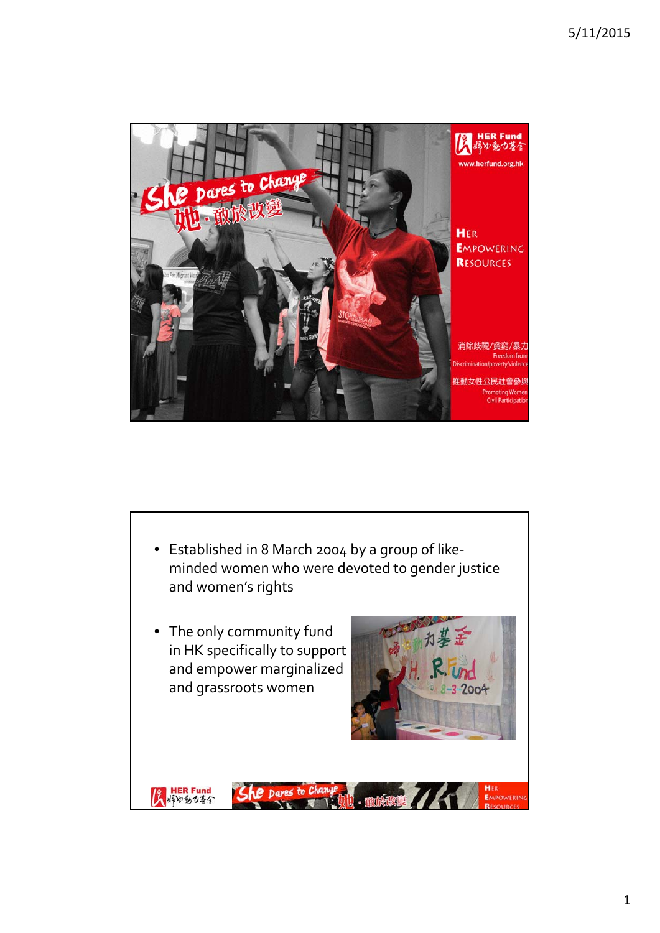

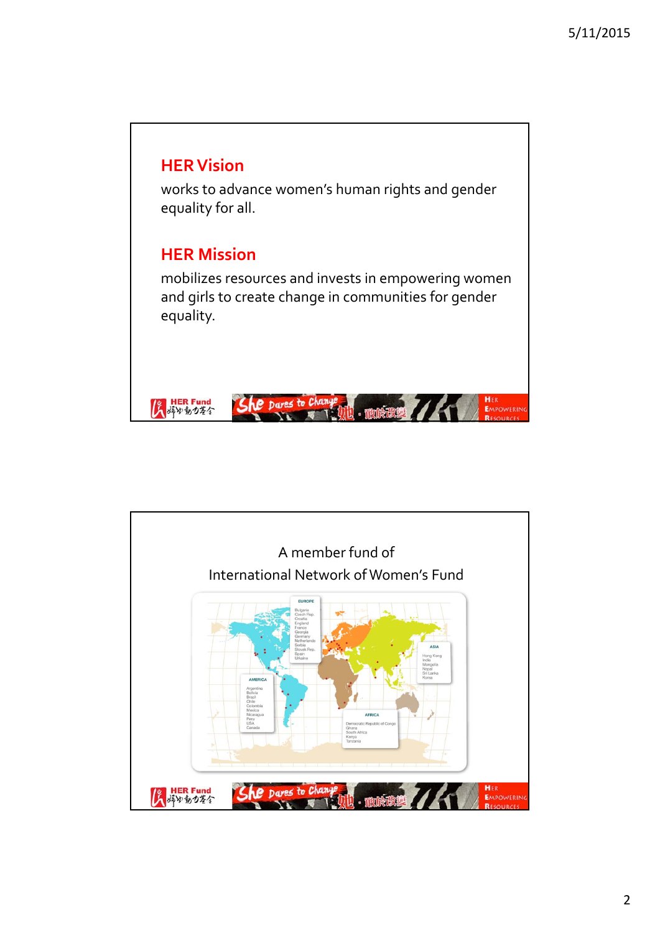

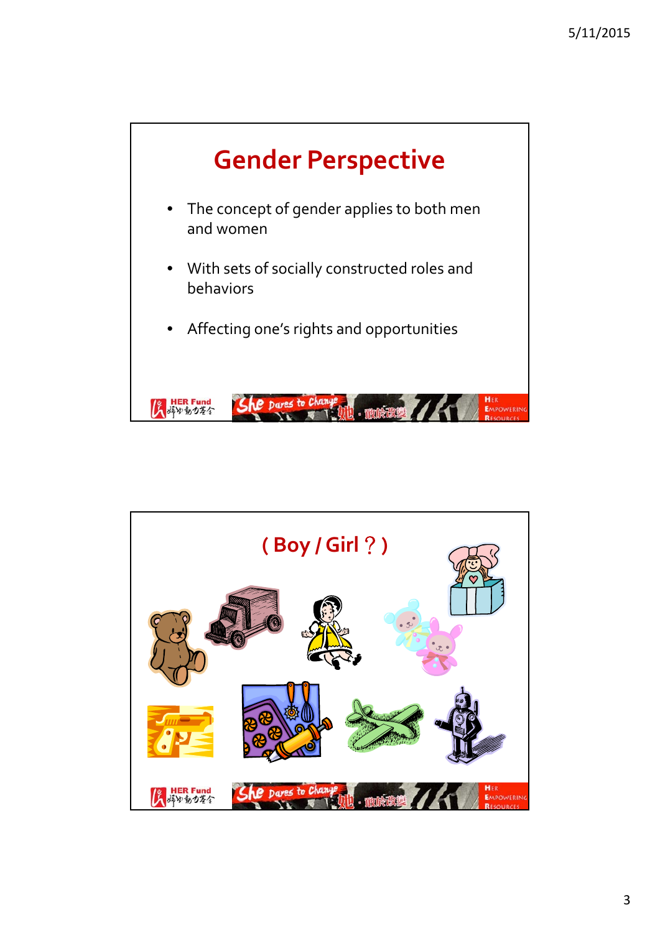

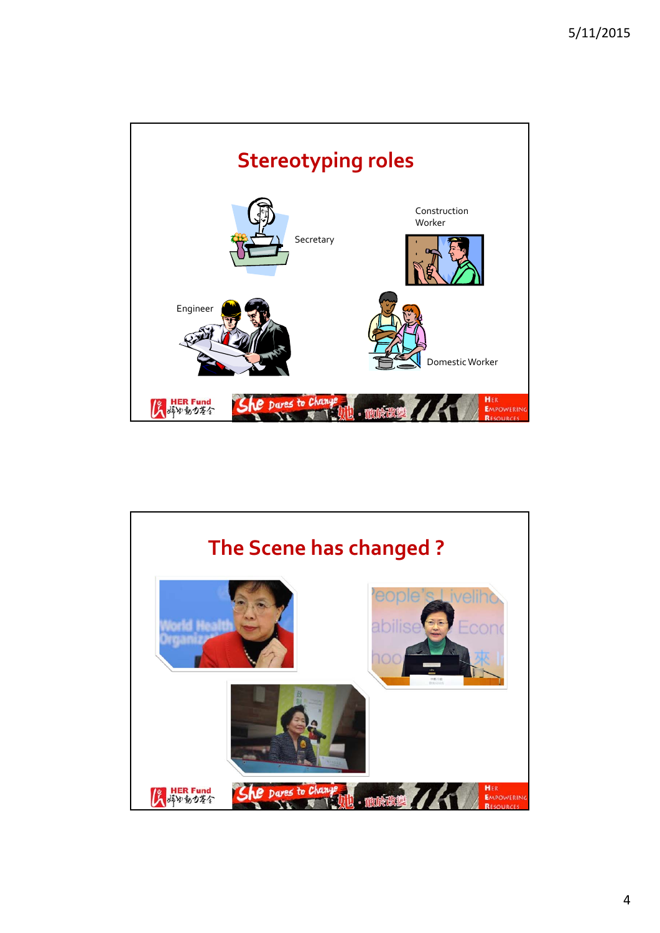

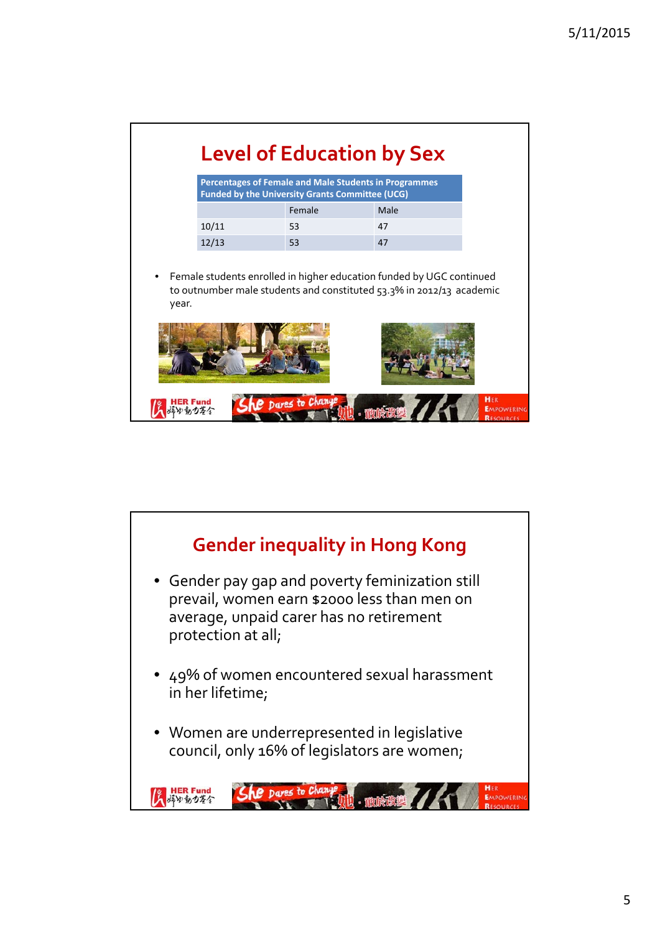| Percentages of Female and Male Students in Programmes<br><b>Funded by the University Grants Committee (UCG)</b> |                                                                      |      |  |  |
|-----------------------------------------------------------------------------------------------------------------|----------------------------------------------------------------------|------|--|--|
|                                                                                                                 | Female                                                               | Male |  |  |
| 10/11                                                                                                           | 53                                                                   | 47   |  |  |
| 12/13                                                                                                           | 53                                                                   | 47   |  |  |
|                                                                                                                 | to outnumber male students and constituted 53.3% in 2012/13 academic |      |  |  |

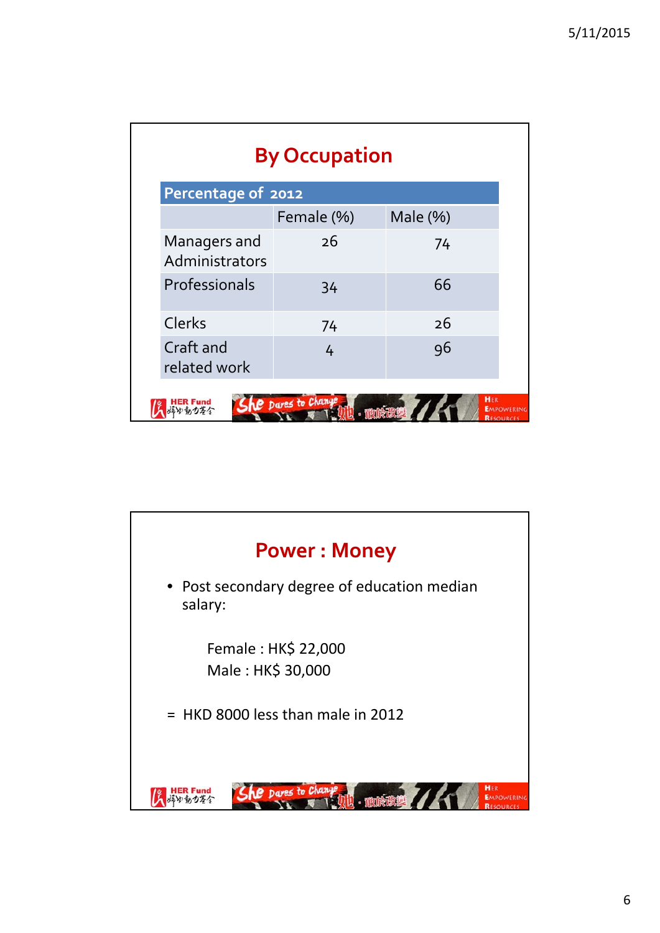| <b>By Occupation</b>           |                                     |              |                                       |  |  |
|--------------------------------|-------------------------------------|--------------|---------------------------------------|--|--|
|                                | Percentage of 2012                  |              |                                       |  |  |
|                                | Female (%)                          | Male $(\% )$ |                                       |  |  |
| Managers and<br>Administrators | 26                                  | 74           |                                       |  |  |
| Professionals                  | 34                                  | 66           |                                       |  |  |
| Clerks                         | 74                                  | 26           |                                       |  |  |
| Craft and<br>related work      | 4                                   | 96           |                                       |  |  |
|                                | <b>AP</b> Dares to Change<br>- 他的夜话 | HER          | <b>EMPOWERING</b><br><b>RESOURCES</b> |  |  |

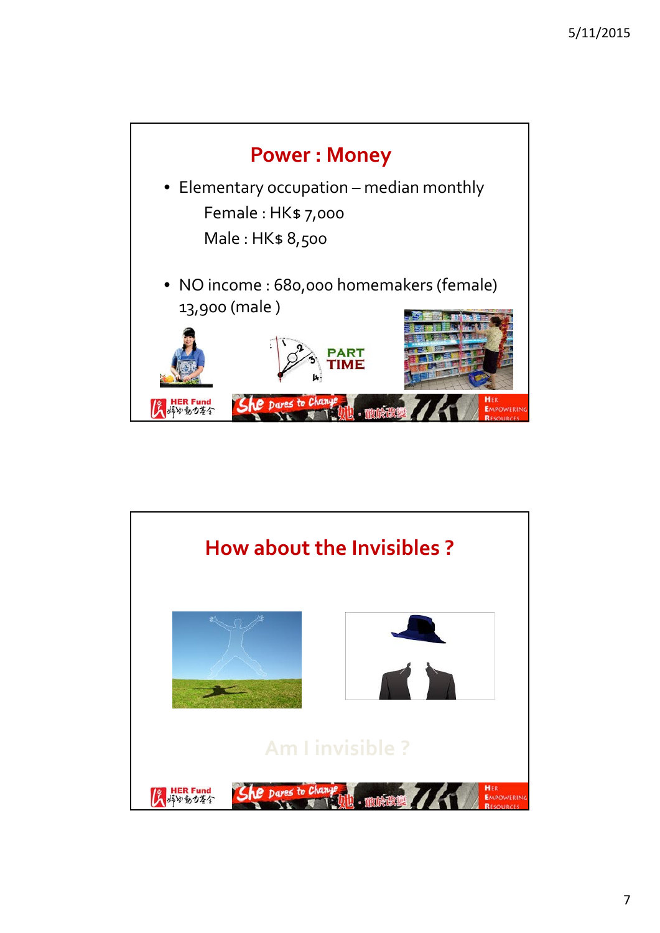

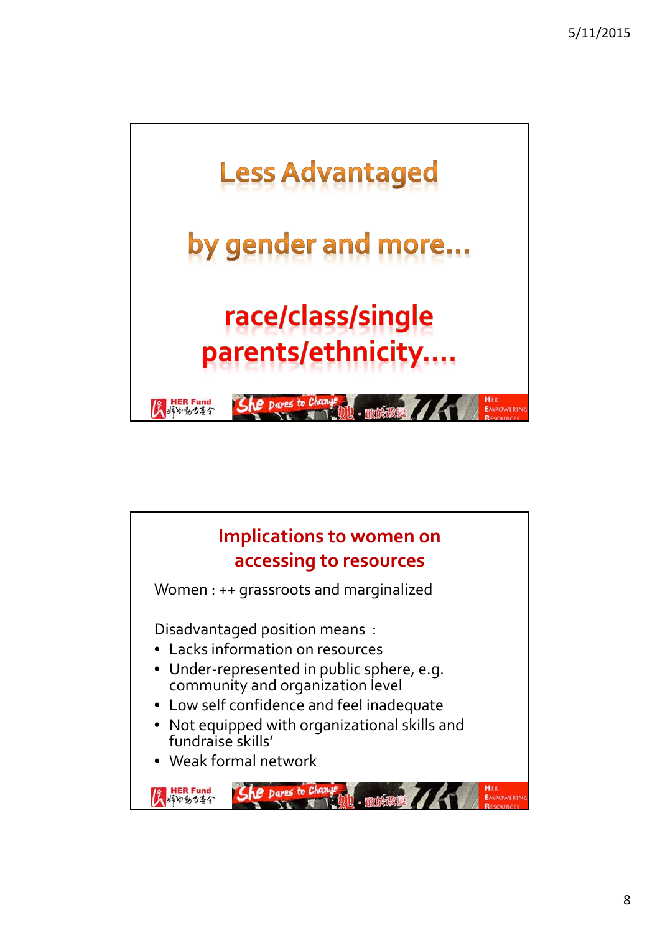

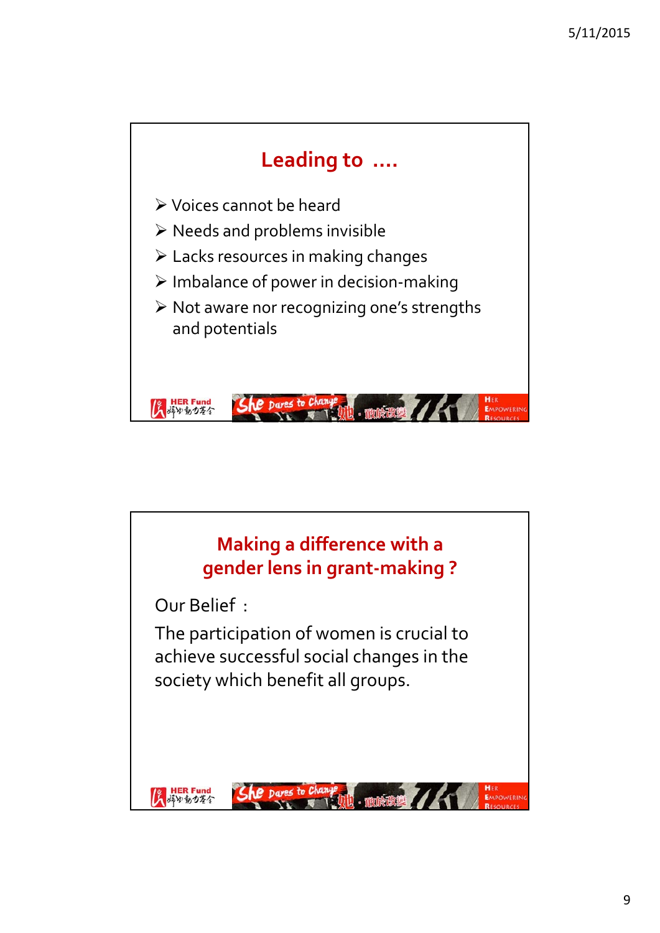

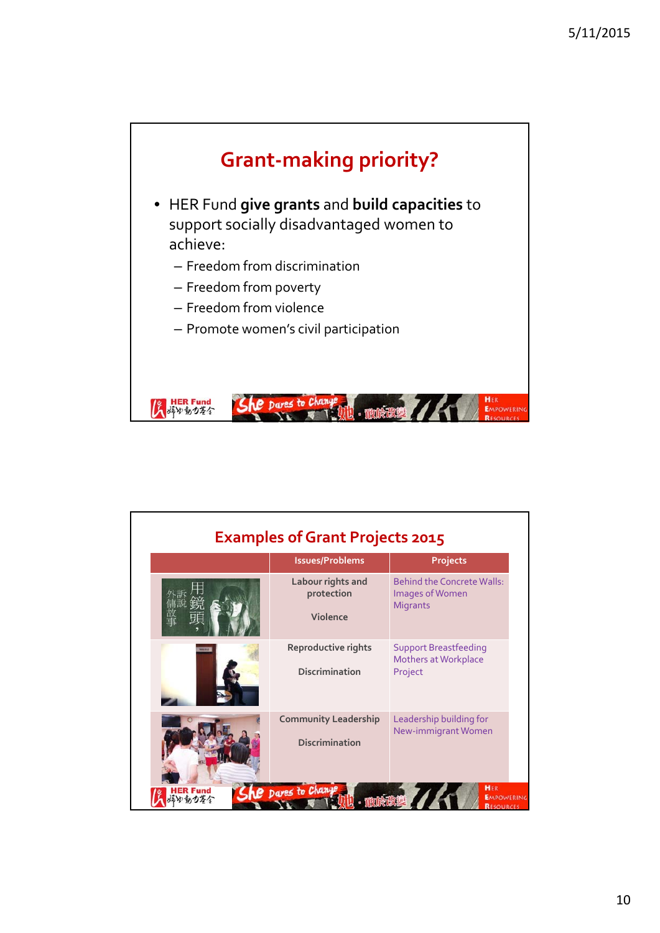

| <b>Examples of Grant Projects 2015</b> |                                                      |                                                                         |  |  |
|----------------------------------------|------------------------------------------------------|-------------------------------------------------------------------------|--|--|
|                                        | <b>Issues/Problems</b>                               | Projects                                                                |  |  |
|                                        | Labour rights and<br>protection<br>Violence          | <b>Behind the Concrete Walls:</b><br>Images of Women<br><b>Migrants</b> |  |  |
|                                        | Reproductive rights<br><b>Discrimination</b>         | <b>Support Breastfeeding</b><br>Mothers at Workplace<br>Project         |  |  |
|                                        | <b>Community Leadership</b><br><b>Discrimination</b> | Leadership building for<br>New-immigrant Women                          |  |  |
|                                        | <b>Le</b> pares to Change                            | HER<br><b>EMPOWERING</b><br><b>RESOURCES</b>                            |  |  |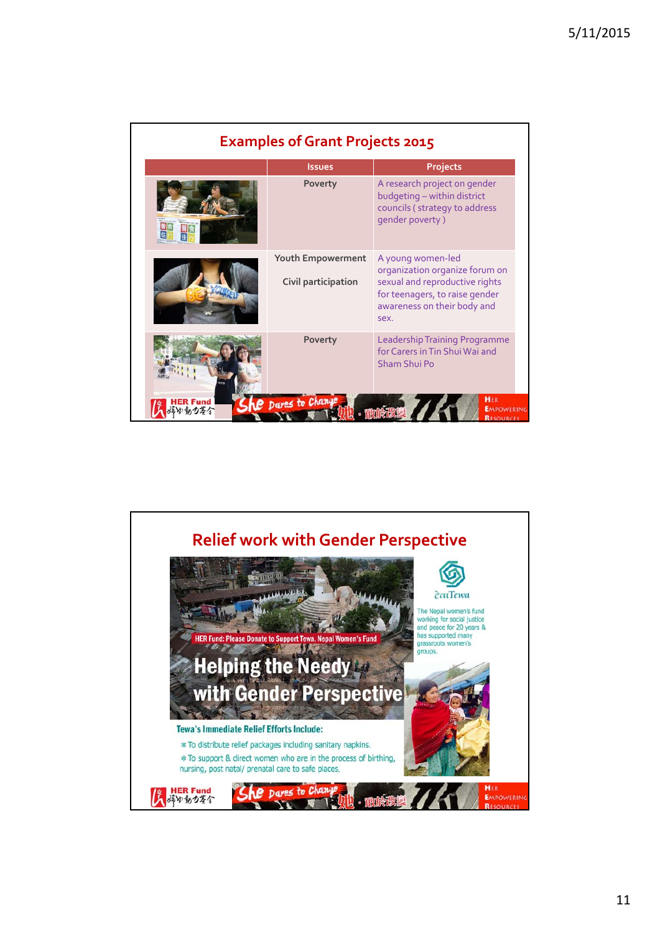| <b>Examples of Grant Projects 2015</b> |                                          |                                                                                                                                                                |  |  |
|----------------------------------------|------------------------------------------|----------------------------------------------------------------------------------------------------------------------------------------------------------------|--|--|
|                                        | <b>Issues</b>                            | Projects                                                                                                                                                       |  |  |
|                                        | Poverty                                  | A research project on gender<br>budgeting - within district<br>councils (strategy to address<br>qender poverty)                                                |  |  |
|                                        | Youth Empowerment<br>Civil participation | A young women-led<br>organization organize forum on<br>sexual and reproductive rights<br>for teenagers, to raise gender<br>awareness on their body and<br>sex. |  |  |
|                                        | Poverty                                  | Leadership Training Programme<br>for Carers in Tin Shui Wai and<br>Sham Shui Po                                                                                |  |  |
|                                        | Dares to Change                          | HER<br><b>EMPOWERING</b><br><b>RESOURCES</b>                                                                                                                   |  |  |

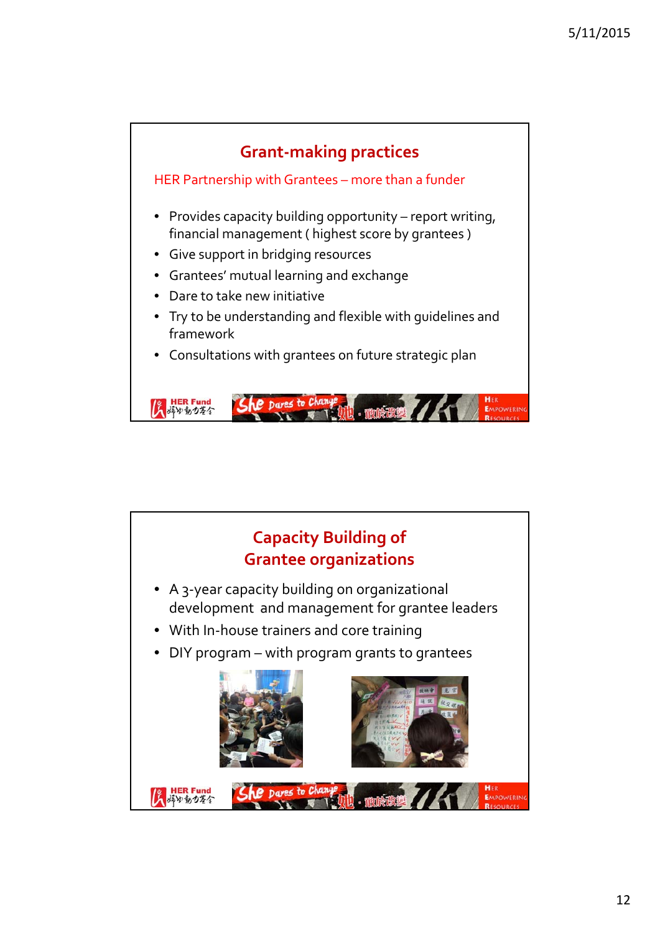

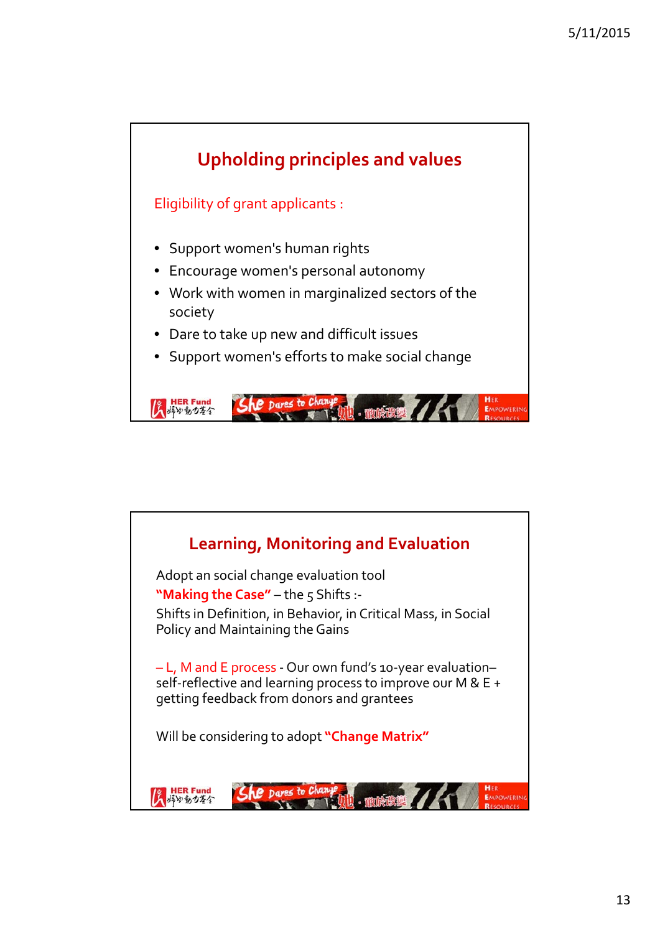

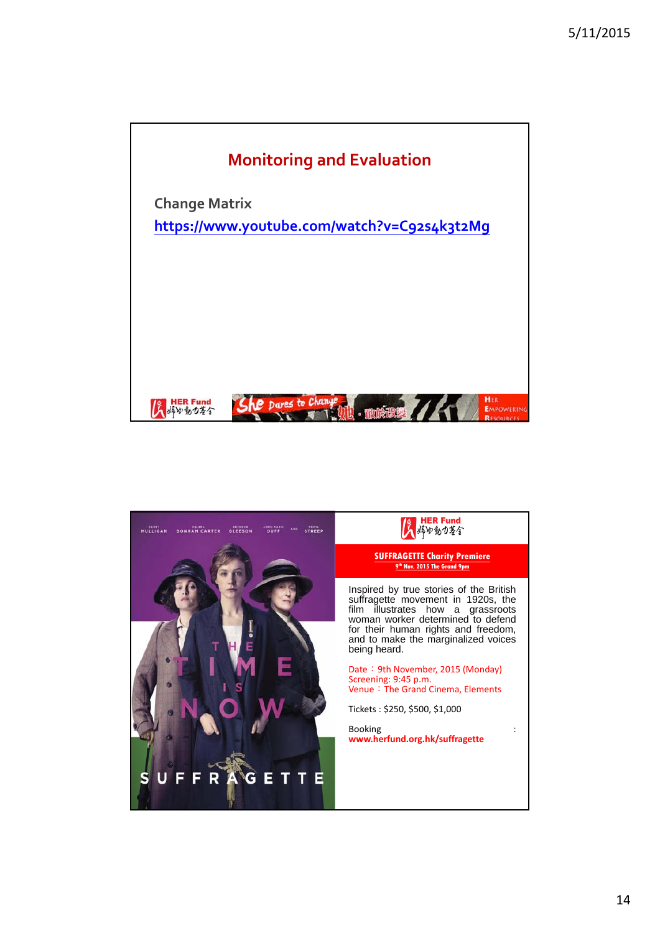